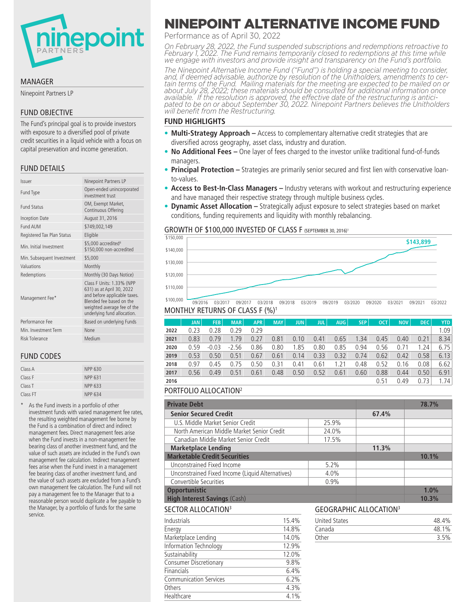

#### MANAGER

Ninepoint Partners LP

# FUND OBJECTIVE

The Fund's principal goal is to provide investors with exposure to a diversified pool of private credit securities in a liquid vehicle with a focus on capital preservation and income generation.

# FUND DETAILS

| <b>Ninepoint Partners LP</b>                                                                                                                                                     |
|----------------------------------------------------------------------------------------------------------------------------------------------------------------------------------|
| Open-ended unincorporated<br>investment trust                                                                                                                                    |
| OM, Exempt Market,<br>Continuous Offering                                                                                                                                        |
| August 31, 2016                                                                                                                                                                  |
| \$749,002,149                                                                                                                                                                    |
| Eligible                                                                                                                                                                         |
| \$5,000 accredited <sup>4</sup><br>\$150,000 non-accredited                                                                                                                      |
| \$5,000                                                                                                                                                                          |
| Monthly                                                                                                                                                                          |
| Monthly (30 Days Notice)                                                                                                                                                         |
| Class F Units: 1.33% (NPP<br>631) as at April 30, 2022<br>and before applicable taxes.<br>Blended fee based on the<br>weighted average fee of the<br>underlying fund allocation. |
| Based on underlying Funds                                                                                                                                                        |
| None                                                                                                                                                                             |
| Medium                                                                                                                                                                           |
|                                                                                                                                                                                  |

# FUND CODES

| Class A            | NPP 630 |
|--------------------|---------|
| Class F            | NPP 631 |
| Class <sub>T</sub> | NPP 633 |
| Class FT           | NPP 634 |

As the Fund invests in a portfolio of other investment funds with varied management fee rates, the resulting weighted management fee borne by the Fund is a combination of direct and indirect management fees. Direct management fees arise when the Fund invests in a non-management fee bearing class of another investment fund, and the value of such assets are included in the Fund's own management fee calculation. Indirect management fees arise when the Fund invest in a management fee bearing class of another investment fund, and the value of such assets are excluded from a Fund's own management fee calculation. The Fund will not pay a management fee to the Manager that to a reasonable person would duplicate a fee payable to the Manager, by a portfolio of funds for the same service.

# NEPOINT ALTERNATIVE INCOME FUND

Performance as of April 30, 2022

*On February 28, 2022, the Fund suspended subscriptions and redemptions retroactive to February 1, 2022. The Fund remains temporarily closed to redemptions at this time while we engage with investors and provide insight and transparency on the Fund's portfolio.*

*The Ninepoint Alternative Income Fund ("Fund") is holding a special meeting to consider, and, if deemed advisable, authorize by resolution of the Unitholders, amendments to cer- tain terms of the Fund. Mailing materials for the meeting are expected to be mailed on or about July 28, 2022; these materials should be consulted for additional information once available. If the resolution is approved, the effective date of the restructuring is antici- pated to be on or about September 30, 2022. Ninepoint Partners believes the Unitholders will benefit from the Restructuring.* 

#### **FUND HIGHLIGHTS**

- **Multi-Strategy Approach –** Access to complementary alternative credit strategies that are diversified across geography, asset class, industry and duration.
- **No Additional Fees –** One layer of fees charged to the investor unlike traditional fund-of-funds managers.
- **Principal Protection –** Strategies are primarily senior secured and first lien with conservative loanto-values.
- **Access to Best-In-Class Managers –** Industry veterans with workout and restructuring experience and have managed their respective strategy through multiple business cycles.
- **Dynamic Asset Allocation –** Strategically adjust exposure to select strategies based on market conditions, funding requirements and liquidity with monthly rebalancing.

#### GROWTH OF \$100,000 INVESTED OF CLASS F (SEPTEMBER 30, 2016)<sup>1</sup>



MONTHLY RETURNS OF CLASS F (%)1

|      | <b>JAN</b> | <b>FEB</b> | <b>MAR</b> | <b>APR</b> | <b>MAY</b> | <b>JUN</b> | <b>JULI</b> | AUG  | <b>SEP</b> | OCT. | <b>NOV</b> | DEC. | <b>YTD</b> |
|------|------------|------------|------------|------------|------------|------------|-------------|------|------------|------|------------|------|------------|
| 2022 | 0.23       | 0.28       | 0.29       | 0.29       |            |            |             |      |            |      |            |      | 1.09       |
| 2021 | 0.83       | 0.79       | 1.79       | 0.27       | 0.81       | 0.10       | 0.41        | 0.65 | 1.34       | 0.45 | 0.40       | 0.21 | 8.34       |
| 2020 | 0.59       | $-0.03$    | $-2.56$    | 0.86       | 0.80       | 1.85       | 0.80        | 0.85 | 0.94       | 0.56 | 0.71       | 1.24 | 6.75       |
| 2019 | 0.53       | 0.50       | 0.51       | 0.67       | 0.61       | 0.14       | 0.33        | 0.32 | 0.74       | 0.62 | 0.42       | 0.58 | 6.13       |
| 2018 | 0.97       | 0.45       | 0.75       | 0.50       | 0.31       | 0.41       | 0.61        | .21  | 0.48       | 0.52 | 0.16       | 0.08 | 6.62       |
| 2017 | 0.56       | 0.49       | 0.51       | 0.61       | 0.48       | 0.50       | 0.52        | 0.61 | 0.60       | 0.88 | 0.44       | 0.50 | 6.91       |
| 2016 |            |            |            |            |            |            |             |      |            | 0.51 | 0.49       | 0.73 | 1.74       |

# PORTFOLIO ALLOCATION2

Sustainability 12.0% Consumer Discretionary 9.8% Financials 6.4% Communication Services 6.2% Others 4.3% Healthcare 4.1%

| <b>Private Debt</b>                              |       |                      |                               | 78.7% |
|--------------------------------------------------|-------|----------------------|-------------------------------|-------|
| <b>Senior Secured Credit</b>                     |       |                      | 67.4%                         |       |
| U.S. Middle Market Senior Credit                 |       | 25.9%                |                               |       |
| North American Middle Market Senior Credit       |       | 24.0%                |                               |       |
| Canadian Middle Market Senior Credit             |       | 17.5%                |                               |       |
| <b>Marketplace Lending</b>                       |       |                      | 11.3%                         |       |
| <b>Marketable Credit Securities</b>              |       |                      |                               | 10.1% |
| Unconstrained Fixed Income                       |       | 5.2%                 |                               |       |
| Unconstrained Fixed Income (Liquid Alternatives) |       | 4.0%                 |                               |       |
| Convertible Securities                           |       | 0.9%                 |                               |       |
| <b>Opportunistic</b>                             |       |                      |                               | 1.0%  |
| <b>High Interest Savings (Cash)</b>              |       |                      |                               | 10.3% |
| <b>SECTOR ALLOCATION3</b>                        |       |                      | <b>GEOGRAPHIC ALLOCATION3</b> |       |
| Industrials                                      | 15.4% | <b>United States</b> |                               | 48.4% |
| Energy                                           | 14.8% | Canada               |                               | 48.1% |
| Marketplace Lending                              | 14.0% | Other                |                               | 3.5%  |
| Information Technology                           | 12.9% |                      |                               |       |